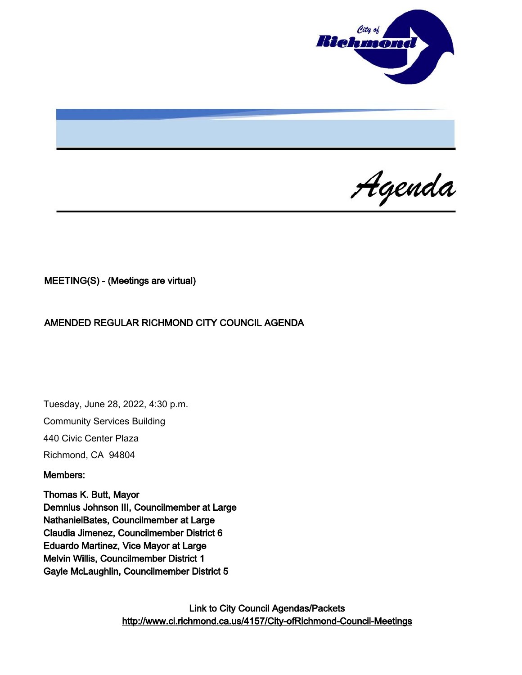

Agenda

MEETING(S) - (Meetings are virtual)

AMENDED REGULAR RICHMOND CITY COUNCIL AGENDA

Tuesday, June 28, 2022, 4:30 p.m. Community Services Building 440 Civic Center Plaza Richmond, CA 94804

#### Members:

Thomas K. Butt, Mayor Demnlus Johnson III, Councilmember at Large NathanielBates, Councilmember at Large Claudia Jimenez, Councilmember District 6 Eduardo Martinez, Vice Mayor at Large Melvin Willis, Councilmember District 1 Gayle McLaughlin, Councilmember District 5

> Link to City Council Agendas/Packets <http://www.ci.richmond.ca.us/4157/City-ofRichmond-Council-Meetings>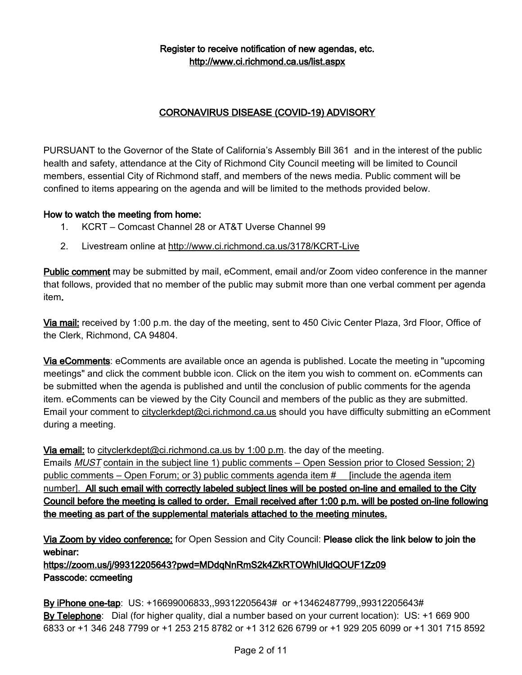# Register to receive notification of new agendas, etc. <http://www.ci.richmond.ca.us/list.aspx>

# CORONAVIRUS DISEASE (COVID-19) ADVISORY

PURSUANT to the Governor of the State of California's Assembly Bill 361 and in the interest of the public health and safety, attendance at the City of Richmond City Council meeting will be limited to Council members, essential City of Richmond staff, and members of the news media. Public comment will be confined to items appearing on the agenda and will be limited to the methods provided below.

## How to watch the meeting from home:

- 1. KCRT Comcast Channel 28 or AT&T Uverse Channel 99
- 2. Livestream online at <http://www.ci.richmond.ca.us/3178/KCRT-Live>

Public comment may be submitted by mail, eComment, email and/or Zoom video conference in the manner that follows, provided that no member of the public may submit more than one verbal comment per agenda item.

Via mail: received by 1:00 p.m. the day of the meeting, sent to 450 Civic Center Plaza, 3rd Floor, Office of the Clerk, Richmond, CA 94804.

Via eComments: eComments are available once an agenda is published. Locate the meeting in "upcoming meetings" and click the comment bubble icon. Click on the item you wish to comment on. eComments can be submitted when the agenda is published and until the conclusion of public comments for the agenda item. eComments can be viewed by the City Council and members of the public as they are submitted. Email your comment to [cityclerkdept@ci.richmond.ca.us](mailto:cityclerkdept@ci.richmond.ca.us) should you have difficulty submitting an eComment during a meeting.

Via email: to [cityclerkdept@ci.richmond.ca.us](mailto:cityclerkdept@ci.richmond.ca.us) by 1:00 p.m. the day of the meeting.

Emails MUST contain in the subject line 1) public comments – Open Session prior to Closed Session; 2) public comments – Open Forum; or 3) public comments agenda item #\_\_ [include the agenda item number]. All such email with correctly labeled subject lines will be posted on-line and emailed to the City Council before the meeting is called to order. Email received after 1:00 p.m. will be posted on-line following the meeting as part of the supplemental materials attached to the meeting minutes.

Via Zoom by video conference: for Open Session and City Council: Please click the link below to join the webinar:

https://zoom.us/j/99312205643?pwd=MDdqNnRmS2k4ZkRTOWhlUldQOUF1Zz09 Passcode: ccmeeting

By iPhone one-tap: US: +16699006833,,99312205643# or +13462487799,,99312205643# By Telephone: Dial (for higher quality, dial a number based on your current location): US: +1 669 900 6833 or +1 346 248 7799 or +1 253 215 8782 or +1 312 626 6799 or +1 929 205 6099 or +1 301 715 8592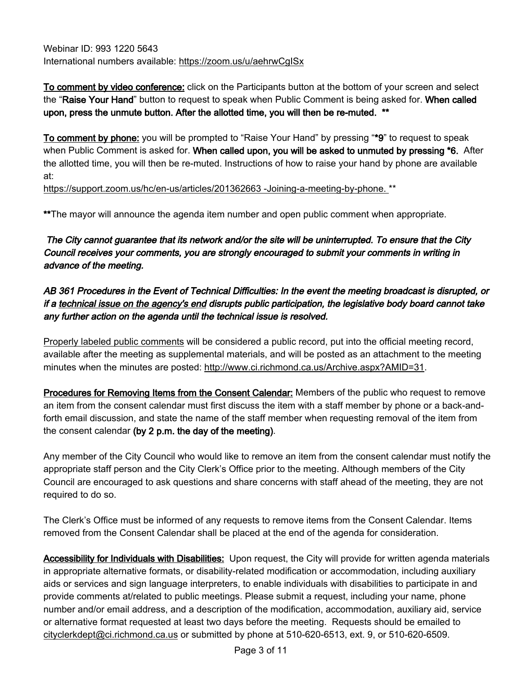Webinar ID: 993 1220 5643 International numbers available: <https://zoom.us/u/aehrwCgISx>

To comment by video conference: click on the Participants button at the bottom of your screen and select the "Raise Your Hand" button to request to speak when Public Comment is being asked for. When called upon, press the unmute button. After the allotted time, you will then be re-muted. \*\*

To comment by phone: you will be prompted to "Raise Your Hand" by pressing "\*9" to request to speak when Public Comment is asked for. When called upon, you will be asked to unmuted by pressing \*6. After the allotted time, you will then be re-muted. Instructions of how to raise your hand by phone are available at:

[https://support.zoom.us/hc/en-us/articles/201362663 -Joining-a-meeting-by-phone.](https://support.zoom.us/hc/en-us/articles/201362663%20-Joining-a-meeting-by-phone.) \*\*

\*\*The mayor will announce the agenda item number and open public comment when appropriate.

The City cannot guarantee that its network and/or the site will be uninterrupted. To ensure that the City Council receives your comments, you are strongly encouraged to submit your comments in writing in advance of the meeting.

# AB 361 Procedures in the Event of Technical Difficulties: In the event the meeting broadcast is disrupted, or if a technical issue on the agency's end disrupts public participation, the legislative body board cannot take any further action on the agenda until the technical issue is resolved.

Properly labeled public comments will be considered a public record, put into the official meeting record, available after the meeting as supplemental materials, and will be posted as an attachment to the meeting minutes when the minutes are posted: [http://www.ci.richmond.ca.us/Archive.aspx?AMID=31.](http://www.ci.richmond.ca.us/Archive.aspx?AMID=31)

Procedures for Removing Items from the Consent Calendar: Members of the public who request to remove an item from the consent calendar must first discuss the item with a staff member by phone or a back-andforth email discussion, and state the name of the staff member when requesting removal of the item from the consent calendar (by 2 p.m. the day of the meeting).

Any member of the City Council who would like to remove an item from the consent calendar must notify the appropriate staff person and the City Clerk's Office prior to the meeting. Although members of the City Council are encouraged to ask questions and share concerns with staff ahead of the meeting, they are not required to do so.

The Clerk's Office must be informed of any requests to remove items from the Consent Calendar. Items removed from the Consent Calendar shall be placed at the end of the agenda for consideration.

Accessibility for Individuals with Disabilities: Upon request, the City will provide for written agenda materials in appropriate alternative formats, or disability-related modification or accommodation, including auxiliary aids or services and sign language interpreters, to enable individuals with disabilities to participate in and provide comments at/related to public meetings. Please submit a request, including your name, phone number and/or email address, and a description of the modification, accommodation, auxiliary aid, service or alternative format requested at least two days before the meeting. Requests should be emailed to [cityclerkdept@ci.richmond.ca.us](mailto:cityclerkdept@ci.richmond.ca.us) or submitted by phone at 510-620-6513, ext. 9, or 510-620-6509.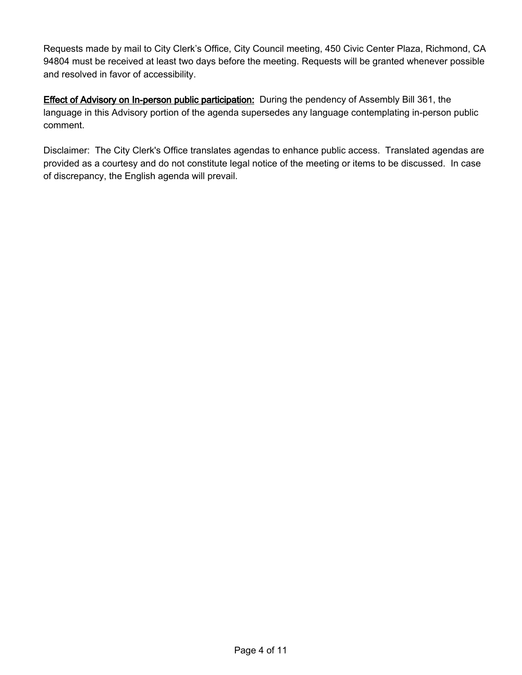Requests made by mail to City Clerk's Office, City Council meeting, 450 Civic Center Plaza, Richmond, CA 94804 must be received at least two days before the meeting. Requests will be granted whenever possible and resolved in favor of accessibility.

**Effect of Advisory on In-person public participation:** During the pendency of Assembly Bill 361, the language in this Advisory portion of the agenda supersedes any language contemplating in-person public comment.

Disclaimer: The City Clerk's Office translates agendas to enhance public access. Translated agendas are provided as a courtesy and do not constitute legal notice of the meeting or items to be discussed. In case of discrepancy, the English agenda will prevail.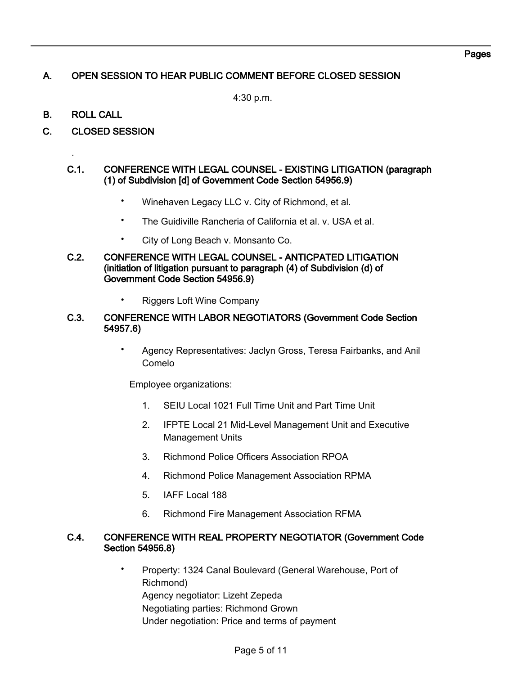# A. OPEN SESSION TO HEAR PUBLIC COMMENT BEFORE CLOSED SESSION

4:30 p.m.

B. ROLL CALL

.

C. CLOSED SESSION

#### C.1. CONFERENCE WITH LEGAL COUNSEL - EXISTING LITIGATION (paragraph (1) of Subdivision [d] of Government Code Section 54956.9)

- Winehaven Legacy LLC v. City of Richmond, et al.
- The Guidiville Rancheria of California et al. v. USA et al.
- City of Long Beach v. Monsanto Co.

#### C.2. CONFERENCE WITH LEGAL COUNSEL - ANTICPATED LITIGATION (initiation of litigation pursuant to paragraph (4) of Subdivision (d) of Government Code Section 54956.9)

• Riggers Loft Wine Company

#### C.3. CONFERENCE WITH LABOR NEGOTIATORS (Government Code Section 54957.6)

• Agency Representatives: Jaclyn Gross, Teresa Fairbanks, and Anil Comelo

Employee organizations:

- 1. SEIU Local 1021 Full Time Unit and Part Time Unit
- 2. IFPTE Local 21 Mid-Level Management Unit and Executive Management Units
- 3. Richmond Police Officers Association RPOA
- 4. Richmond Police Management Association RPMA
- 5. IAFF Local 188
- 6. Richmond Fire Management Association RFMA

#### C.4. CONFERENCE WITH REAL PROPERTY NEGOTIATOR (Government Code Section 54956.8)

• Property: 1324 Canal Boulevard (General Warehouse, Port of Richmond) Agency negotiator: Lizeht Zepeda Negotiating parties: Richmond Grown Under negotiation: Price and terms of payment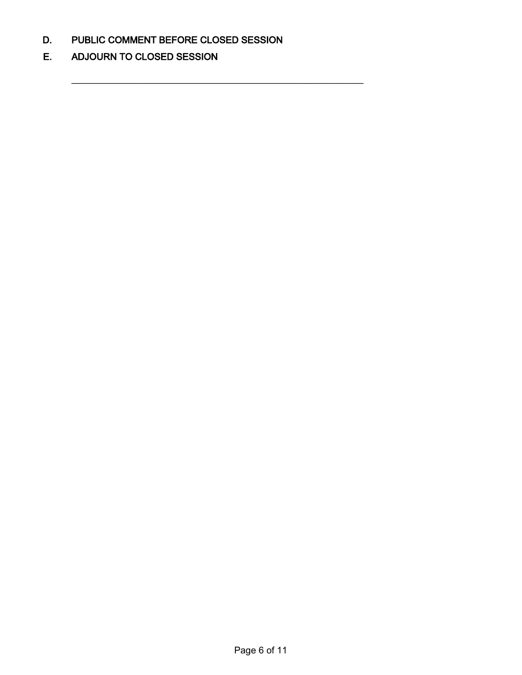D. PUBLIC COMMENT BEFORE CLOSED SESSION

\_\_\_\_\_\_\_\_\_\_\_\_\_\_\_\_\_\_\_\_\_\_\_\_\_\_\_\_\_\_\_\_\_\_\_\_\_\_\_\_\_\_\_\_\_\_\_\_\_\_\_\_\_\_\_\_

E. ADJOURN TO CLOSED SESSION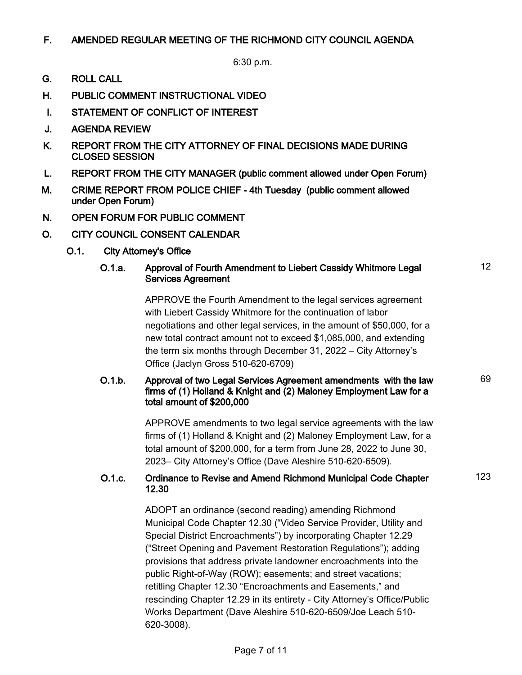# F. AMENDED REGULAR MEETING OF THE RICHMOND CITY COUNCIL AGENDA

6:30 p.m.

- G. ROLL CALL
- H. PUBLIC COMMENT INSTRUCTIONAL VIDEO
- I. STATEMENT OF CONFLICT OF INTEREST
- J. AGENDA REVIEW
- K. REPORT FROM THE CITY ATTORNEY OF FINAL DECISIONS MADE DURING CLOSED SESSION
- L. REPORT FROM THE CITY MANAGER (public comment allowed under Open Forum)
- M. CRIME REPORT FROM POLICE CHIEF 4th Tuesday (public comment allowed under Open Forum)
- N. OPEN FORUM FOR PUBLIC COMMENT
- O. CITY COUNCIL CONSENT CALENDAR
	- O.1. City Attorney's Office

#### O.1.a. Approval of Fourth Amendment to Liebert Cassidy Whitmore Legal Services Agreement

APPROVE the Fourth Amendment to the legal services agreement with Liebert Cassidy Whitmore for the continuation of labor negotiations and other legal services, in the amount of \$50,000, for a new total contract amount not to exceed \$1,085,000, and extending the term six months through December 31, 2022 – City Attorney's Office (Jaclyn Gross 510-620-6709)

## O.1.b. Approval of two Legal Services Agreement amendments with the law firms of (1) Holland & Knight and (2) Maloney Employment Law for a total amount of \$200,000

APPROVE amendments to two legal service agreements with the law firms of (1) Holland & Knight and (2) Maloney Employment Law, for a total amount of \$200,000, for a term from June 28, 2022 to June 30, 2023– City Attorney's Office (Dave Aleshire 510-620-6509).

## O.1.c. Ordinance to Revise and Amend Richmond Municipal Code Chapter 12.30

ADOPT an ordinance (second reading) amending Richmond Municipal Code Chapter 12.30 ("Video Service Provider, Utility and Special District Encroachments") by incorporating Chapter 12.29 ("Street Opening and Pavement Restoration Regulations"); adding provisions that address private landowner encroachments into the public Right-of-Way (ROW); easements; and street vacations; retitling Chapter 12.30 "Encroachments and Easements," and rescinding Chapter 12.29 in its entirety - City Attorney's Office/Public Works Department (Dave Aleshire 510-620-6509/Joe Leach 510- 620-3008).

123

69

12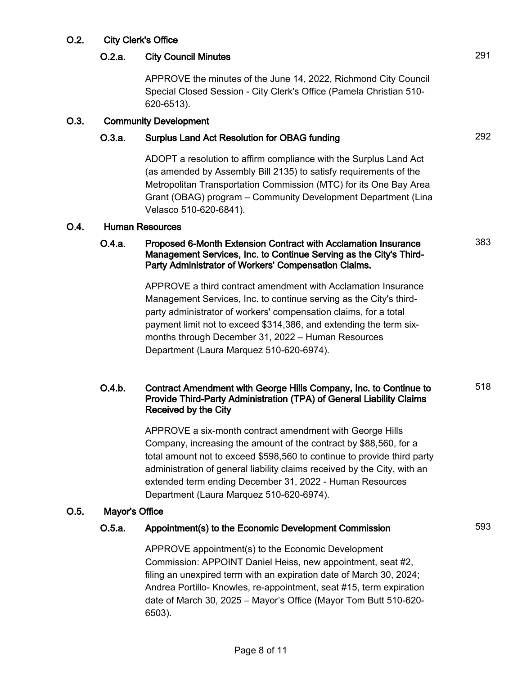# O.2. City Clerk's Office

# O.2.a. City Council Minutes 291

APPROVE the minutes of the June 14, 2022, Richmond City Council Special Closed Session - City Clerk's Office (Pamela Christian 510- 620-6513).

## O.3. Community Development

# O.3.a. Surplus Land Act Resolution for OBAG funding 292

ADOPT a resolution to affirm compliance with the Surplus Land Act (as amended by Assembly Bill 2135) to satisfy requirements of the Metropolitan Transportation Commission (MTC) for its One Bay Area Grant (OBAG) program – Community Development Department (Lina Velasco 510-620-6841).

#### O.4. Human Resources

## O.4.a. Proposed 6-Month Extension Contract with Acclamation Insurance Management Services, Inc. to Continue Serving as the City's Third-Party Administrator of Workers' Compensation Claims.

APPROVE a third contract amendment with Acclamation Insurance Management Services, Inc. to continue serving as the City's thirdparty administrator of workers' compensation claims, for a total payment limit not to exceed \$314,386, and extending the term sixmonths through December 31, 2022 – Human Resources Department (Laura Marquez 510-620-6974).

# O.4.b. Contract Amendment with George Hills Company, Inc. to Continue to Provide Third-Party Administration (TPA) of General Liability Claims Received by the City

APPROVE a six-month contract amendment with George Hills Company, increasing the amount of the contract by \$88,560, for a total amount not to exceed \$598,560 to continue to provide third party administration of general liability claims received by the City, with an extended term ending December 31, 2022 - Human Resources Department (Laura Marquez 510-620-6974).

# O.5. Mayor's Office

# O.5.a. Appointment(s) to the Economic Development Commission 593

APPROVE appointment(s) to the Economic Development Commission: APPOINT Daniel Heiss, new appointment, seat #2, filing an unexpired term with an expiration date of March 30, 2024; Andrea Portillo- Knowles, re-appointment, seat #15, term expiration date of March 30, 2025 – Mayor's Office (Mayor Tom Butt 510-620- 6503).

383

518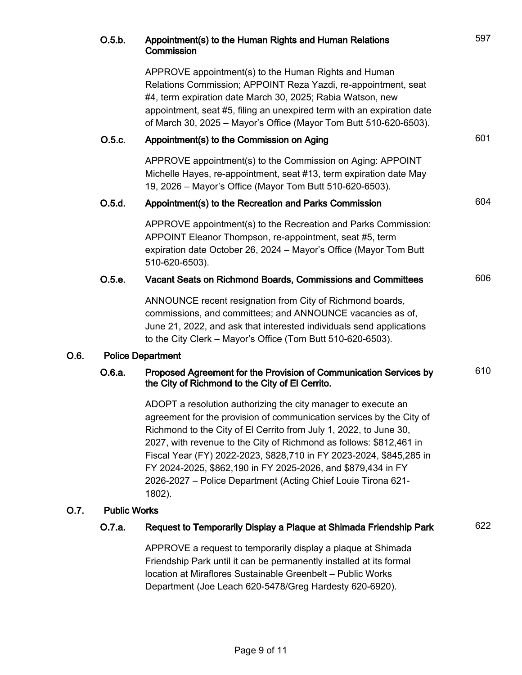|      | O.5.b.                   | Appointment(s) to the Human Rights and Human Relations<br>Commission                                                                                                                                                                                                                                                                                                                                                                                                                                | 597 |
|------|--------------------------|-----------------------------------------------------------------------------------------------------------------------------------------------------------------------------------------------------------------------------------------------------------------------------------------------------------------------------------------------------------------------------------------------------------------------------------------------------------------------------------------------------|-----|
|      |                          | APPROVE appointment(s) to the Human Rights and Human<br>Relations Commission; APPOINT Reza Yazdi, re-appointment, seat<br>#4, term expiration date March 30, 2025; Rabia Watson, new<br>appointment, seat #5, filing an unexpired term with an expiration date<br>of March 30, 2025 - Mayor's Office (Mayor Tom Butt 510-620-6503).                                                                                                                                                                 |     |
|      | O.5.c.                   | Appointment(s) to the Commission on Aging                                                                                                                                                                                                                                                                                                                                                                                                                                                           | 601 |
|      |                          | APPROVE appointment(s) to the Commission on Aging: APPOINT<br>Michelle Hayes, re-appointment, seat #13, term expiration date May<br>19, 2026 - Mayor's Office (Mayor Tom Butt 510-620-6503).                                                                                                                                                                                                                                                                                                        |     |
|      | O.5.d.                   | Appointment(s) to the Recreation and Parks Commission                                                                                                                                                                                                                                                                                                                                                                                                                                               | 604 |
|      |                          | APPROVE appointment(s) to the Recreation and Parks Commission:<br>APPOINT Eleanor Thompson, re-appointment, seat #5, term<br>expiration date October 26, 2024 - Mayor's Office (Mayor Tom Butt<br>510-620-6503).                                                                                                                                                                                                                                                                                    |     |
|      | 0.5.e.                   | Vacant Seats on Richmond Boards, Commissions and Committees                                                                                                                                                                                                                                                                                                                                                                                                                                         | 606 |
|      |                          | ANNOUNCE recent resignation from City of Richmond boards,<br>commissions, and committees; and ANNOUNCE vacancies as of,<br>June 21, 2022, and ask that interested individuals send applications<br>to the City Clerk - Mayor's Office (Tom Butt 510-620-6503).                                                                                                                                                                                                                                      |     |
| O.6. | <b>Police Department</b> |                                                                                                                                                                                                                                                                                                                                                                                                                                                                                                     |     |
|      | O.6.a.                   | Proposed Agreement for the Provision of Communication Services by<br>the City of Richmond to the City of El Cerrito.                                                                                                                                                                                                                                                                                                                                                                                | 610 |
|      |                          | ADOPT a resolution authorizing the city manager to execute an<br>agreement for the provision of communication services by the City of<br>Richmond to the City of El Cerrito from July 1, 2022, to June 30,<br>2027, with revenue to the City of Richmond as follows: \$812,461 in<br>Fiscal Year (FY) 2022-2023, \$828,710 in FY 2023-2024, \$845,285 in<br>FY 2024-2025, \$862,190 in FY 2025-2026, and \$879,434 in FY<br>2026-2027 - Police Department (Acting Chief Louie Tirona 621-<br>1802). |     |
| O.7. | <b>Public Works</b>      |                                                                                                                                                                                                                                                                                                                                                                                                                                                                                                     |     |
|      | 0.7.a.                   | Request to Temporarily Display a Plaque at Shimada Friendship Park                                                                                                                                                                                                                                                                                                                                                                                                                                  | 622 |
|      |                          | APPROVE a request to temporarily display a plaque at Shimada<br>Friendship Park until it can be permanently installed at its formal<br>location at Miraflores Sustainable Greenbelt - Public Works<br>Department (Joe Leach 620-5478/Greg Hardesty 620-6920).                                                                                                                                                                                                                                       |     |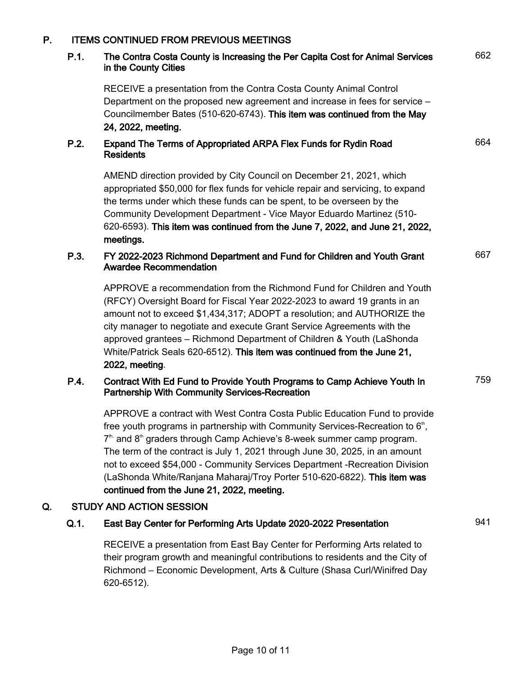## P. ITEMS CONTINUED FROM PREVIOUS MEETINGS

#### P.1. The Contra Costa County is Increasing the Per Capita Cost for Animal Services in the County Cities

662

664

667

759

RECEIVE a presentation from the Contra Costa County Animal Control Department on the proposed new agreement and increase in fees for service – Councilmember Bates (510-620-6743). This item was continued from the May 24, 2022, meeting.

## P.2. Expand The Terms of Appropriated ARPA Flex Funds for Rydin Road **Residents**

AMEND direction provided by City Council on December 21, 2021, which appropriated \$50,000 for flex funds for vehicle repair and servicing, to expand the terms under which these funds can be spent, to be overseen by the Community Development Department - Vice Mayor Eduardo Martinez (510- 620-6593). This item was continued from the June 7, 2022, and June 21, 2022, meetings.

# P.3. FY 2022-2023 Richmond Department and Fund for Children and Youth Grant Awardee Recommendation

APPROVE a recommendation from the Richmond Fund for Children and Youth (RFCY) Oversight Board for Fiscal Year 2022-2023 to award 19 grants in an amount not to exceed \$1,434,317; ADOPT a resolution; and AUTHORIZE the city manager to negotiate and execute Grant Service Agreements with the approved grantees – Richmond Department of Children & Youth (LaShonda White/Patrick Seals 620-6512). This item was continued from the June 21, 2022, meeting.

## P.4. Contract With Ed Fund to Provide Youth Programs to Camp Achieve Youth In Partnership With Community Services-Recreation

APPROVE a contract with West Contra Costa Public Education Fund to provide free youth programs in partnership with Community Services-Recreation to  $6<sup>th</sup>$ ,  $7<sup>th</sup>$  and  $8<sup>th</sup>$  graders through Camp Achieve's 8-week summer camp program. The term of the contract is July 1, 2021 through June 30, 2025, in an amount not to exceed \$54,000 - Community Services Department -Recreation Division (LaShonda White/Ranjana Maharaj/Troy Porter 510-620-6822). This item was continued from the June 21, 2022, meeting.

# Q. STUDY AND ACTION SESSION

# Q.1. East Bay Center for Performing Arts Update 2020-2022 Presentation 941

RECEIVE a presentation from East Bay Center for Performing Arts related to their program growth and meaningful contributions to residents and the City of Richmond – Economic Development, Arts & Culture (Shasa Curl/Winifred Day 620-6512).